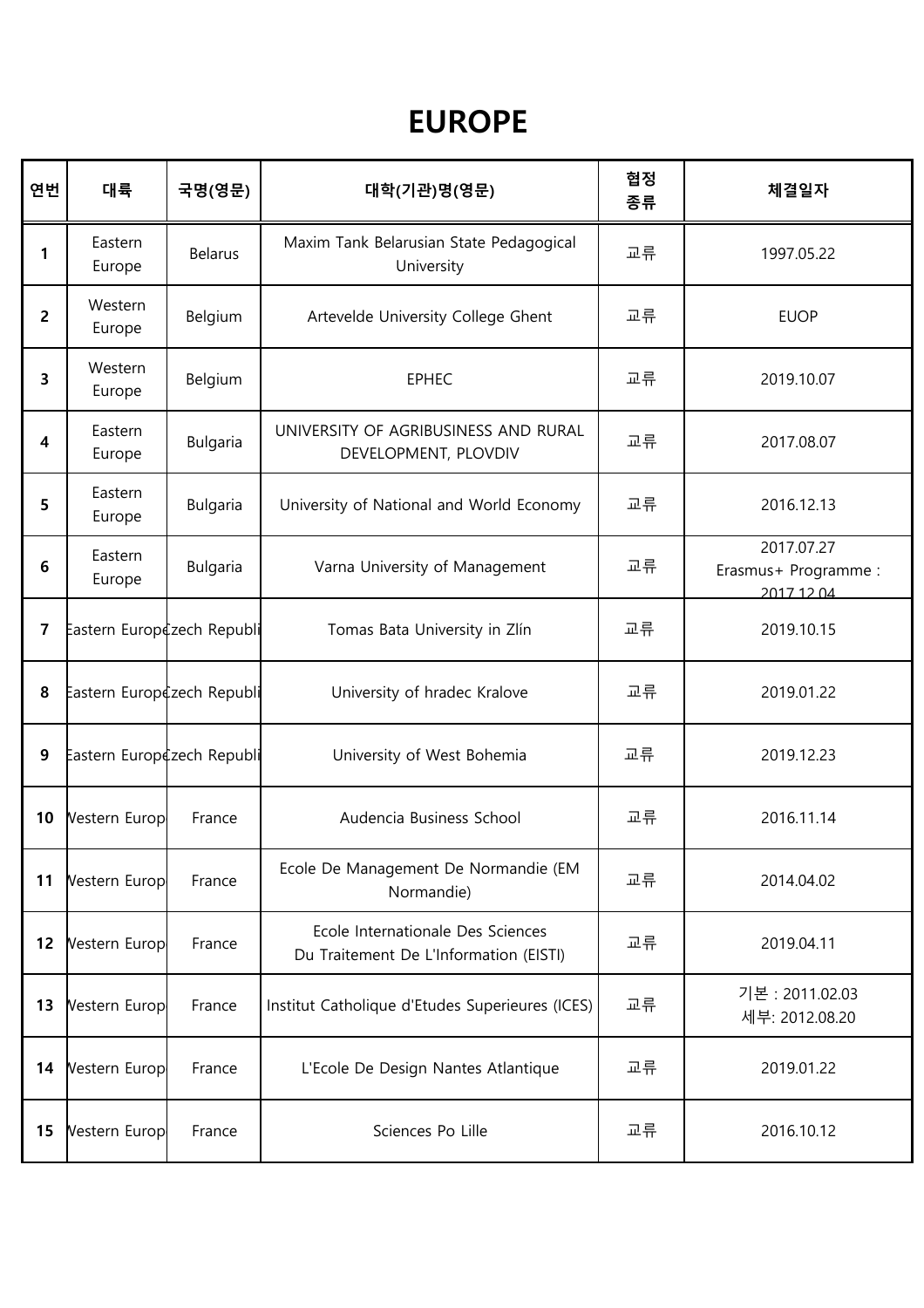## EUROPE

| 연번             | 대륙                         | 국명(영문)          | 대학(기관)명(영문)                                                                 | 협정<br>종류 | 체결일자                                             |
|----------------|----------------------------|-----------------|-----------------------------------------------------------------------------|----------|--------------------------------------------------|
| $\mathbf{1}$   | Eastern<br>Europe          | <b>Belarus</b>  | Maxim Tank Belarusian State Pedagogical<br>University                       | 교류       | 1997.05.22                                       |
| $\overline{2}$ | Western<br>Europe          | Belgium         | Artevelde University College Ghent                                          | 교류       | <b>EUOP</b>                                      |
| 3              | Western<br>Europe          | Belgium         | <b>EPHEC</b>                                                                | 교류       | 2019.10.07                                       |
| 4              | Eastern<br>Europe          | <b>Bulgaria</b> | UNIVERSITY OF AGRIBUSINESS AND RURAL<br>DEVELOPMENT, PLOVDIV                | 교류       | 2017.08.07                                       |
| 5              | Eastern<br>Europe          | <b>Bulgaria</b> | University of National and World Economy                                    | 교류       | 2016.12.13                                       |
| 6              | Eastern<br>Europe          | Bulgaria        | Varna University of Management                                              | 교류       | 2017.07.27<br>Erasmus+ Programme :<br>2017 12 04 |
| $\overline{7}$ | Eastern Europczech Republi |                 | Tomas Bata University in Zlín                                               | 교류       | 2019.10.15                                       |
| 8              | Eastern Europczech Republi |                 | University of hradec Kralove                                                | 교류       | 2019.01.22                                       |
| 9              | Eastern Europczech Republi |                 | University of West Bohemia                                                  | 교류       | 2019.12.23                                       |
| 10             | Vestern Europ              | France          | Audencia Business School                                                    | 교류       | 2016.11.14                                       |
| 11             | Vestern Europ              | France          | Ecole De Management De Normandie (EM<br>Normandie)                          | 교류       | 2014.04.02                                       |
| 12             | Vestern Europ              | France          | Ecole Internationale Des Sciences<br>Du Traitement De L'Information (EISTI) | 교류       | 2019.04.11                                       |
| 13             | Vestern Europ              | France          | Institut Catholique d'Etudes Superieures (ICES)                             | 교류       | 기본 : 2011.02.03<br>세부: 2012.08.20                |
| 14             | Vestern Europ              | France          | L'Ecole De Design Nantes Atlantique                                         | 교류       | 2019.01.22                                       |
| 15             | Vestern Europ              | France          | Sciences Po Lille                                                           | 교류       | 2016.10.12                                       |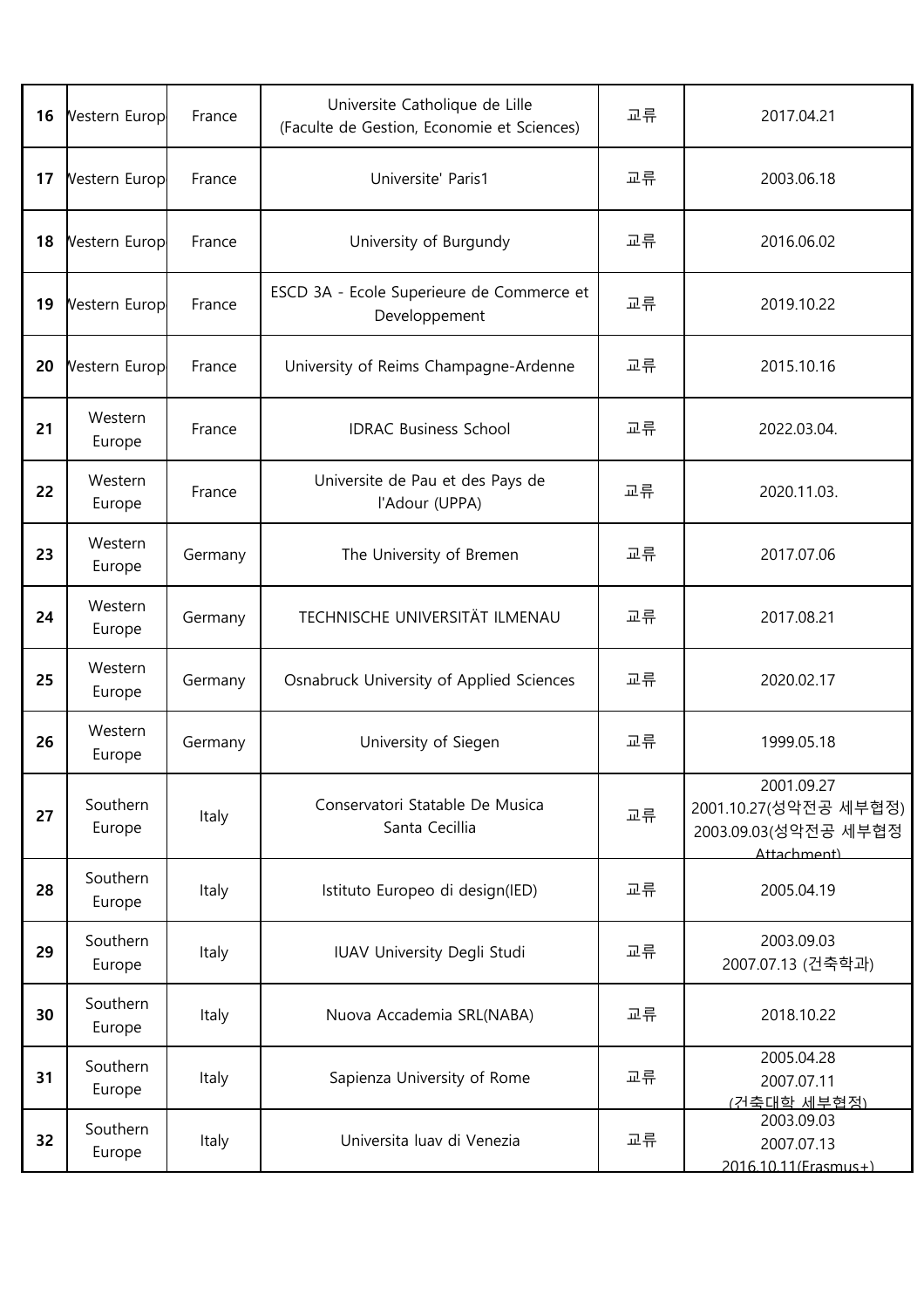| 16 | Vestern Europ      | France  | Universite Catholique de Lille<br>(Faculte de Gestion, Economie et Sciences) | 교류 | 2017.04.21                                                                  |
|----|--------------------|---------|------------------------------------------------------------------------------|----|-----------------------------------------------------------------------------|
| 17 | Vestern Europ      | France  | Universite' Paris1                                                           | 교류 | 2003.06.18                                                                  |
| 18 | Vestern Europ      | France  | University of Burgundy                                                       | 교류 | 2016.06.02                                                                  |
| 19 | Vestern Europ      | France  | ESCD 3A - Ecole Superieure de Commerce et<br>Developpement                   | 교류 | 2019.10.22                                                                  |
| 20 | Vestern Europ      | France  | University of Reims Champagne-Ardenne                                        | 교류 | 2015.10.16                                                                  |
| 21 | Western<br>Europe  | France  | <b>IDRAC Business School</b>                                                 | 교류 | 2022.03.04.                                                                 |
| 22 | Western<br>Europe  | France  | Universite de Pau et des Pays de<br>l'Adour (UPPA)                           | 교류 | 2020.11.03.                                                                 |
| 23 | Western<br>Europe  | Germany | The University of Bremen                                                     | 교류 | 2017.07.06                                                                  |
| 24 | Western<br>Europe  | Germany | TECHNISCHE UNIVERSITÄT ILMENAU                                               | 교류 | 2017.08.21                                                                  |
| 25 | Western<br>Europe  | Germany | Osnabruck University of Applied Sciences                                     | 교류 | 2020.02.17                                                                  |
| 26 | Western<br>Europe  | Germany | University of Siegen                                                         | 교류 | 1999.05.18                                                                  |
| 27 | Southern<br>Europe | Italy   | Conservatori Statable De Musica<br>Santa Cecillia                            | 교류 | 2001.09.27<br>2001.10.27(성악전공 세부협정)<br>2003.09.03 (성악전공 세부협정<br>Attachment) |
| 28 | Southern<br>Europe | Italy   | Istituto Europeo di design(IED)                                              | 교류 | 2005.04.19                                                                  |
| 29 | Southern<br>Europe | Italy   | IUAV University Degli Studi                                                  | 교류 | 2003.09.03<br>2007.07.13 (건축학과)                                             |
| 30 | Southern<br>Europe | Italy   | Nuova Accademia SRL(NABA)                                                    | 교류 | 2018.10.22                                                                  |
| 31 | Southern<br>Europe | Italy   | Sapienza University of Rome                                                  | 교류 | 2005.04.28<br>2007.07.11<br>(거축대학 세부현정)                                     |
| 32 | Southern<br>Europe | Italy   | Universita luav di Venezia                                                   | 교류 | 2003.09.03<br>2007.07.13<br>2016 10 11 (Frasmus+)                           |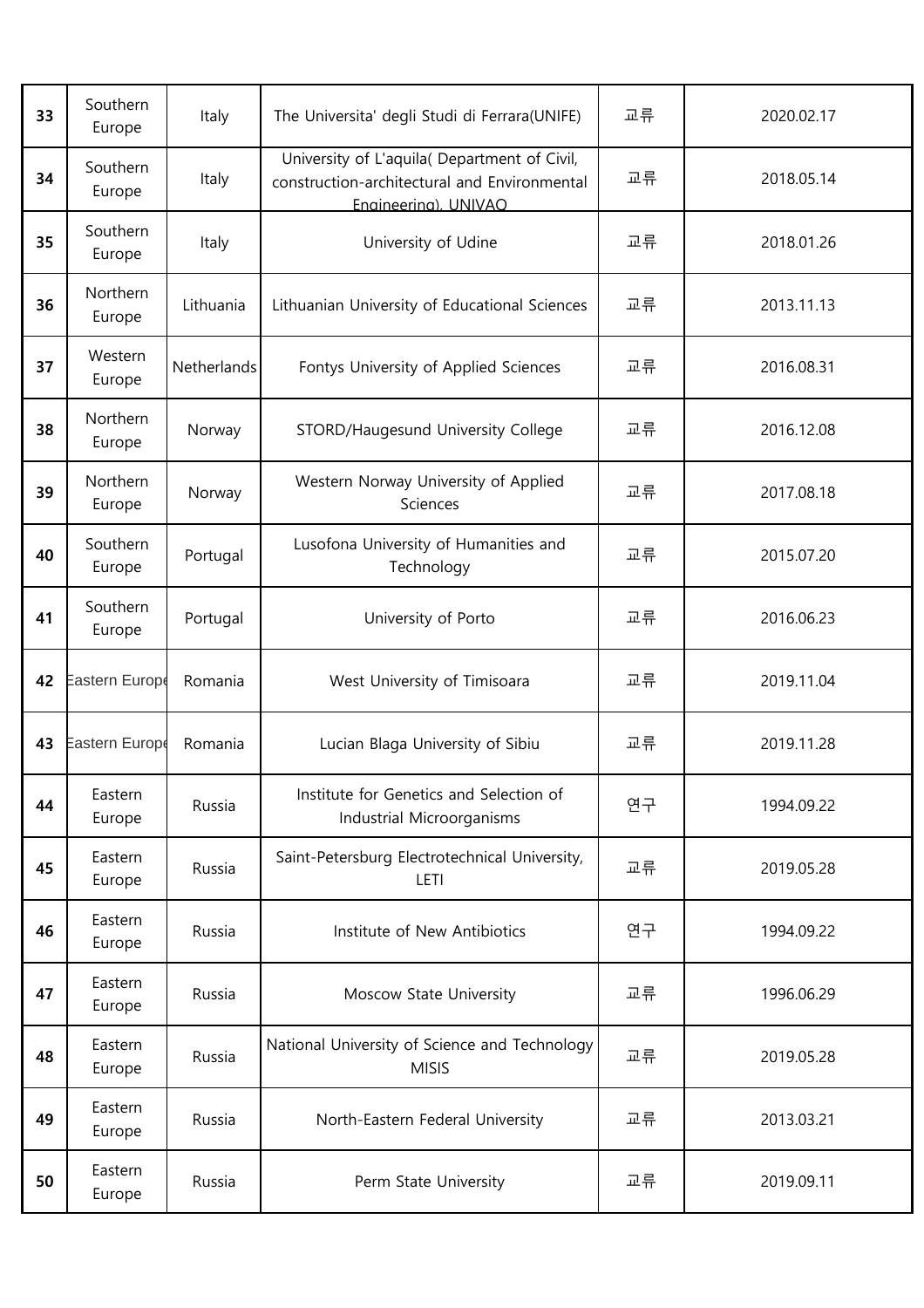| 33 | Southern<br>Europe | Italy       | The Universita' degli Studi di Ferrara(UNIFE)                                                                        | 교류 | 2020.02.17 |
|----|--------------------|-------------|----------------------------------------------------------------------------------------------------------------------|----|------------|
| 34 | Southern<br>Europe | Italy       | University of L'aquila( Department of Civil,<br>construction-architectural and Environmental<br>Engineering). UNIVAO | 교류 | 2018.05.14 |
| 35 | Southern<br>Europe | Italy       | University of Udine                                                                                                  | 교류 | 2018.01.26 |
| 36 | Northern<br>Europe | Lithuania   | Lithuanian University of Educational Sciences                                                                        | 교류 | 2013.11.13 |
| 37 | Western<br>Europe  | Netherlands | Fontys University of Applied Sciences                                                                                | 교류 | 2016.08.31 |
| 38 | Northern<br>Europe | Norway      | STORD/Haugesund University College                                                                                   | 교류 | 2016.12.08 |
| 39 | Northern<br>Europe | Norway      | Western Norway University of Applied<br>Sciences                                                                     | 교류 | 2017.08.18 |
| 40 | Southern<br>Europe | Portugal    | Lusofona University of Humanities and<br>Technology                                                                  | 교류 | 2015.07.20 |
| 41 | Southern<br>Europe | Portugal    | University of Porto                                                                                                  | 교류 | 2016.06.23 |
| 42 | Eastern Europe     | Romania     | West University of Timisoara                                                                                         | 교류 | 2019.11.04 |
| 43 | Eastern Europe     | Romania     | Lucian Blaga University of Sibiu                                                                                     | 교류 | 2019.11.28 |
| 44 | Eastern<br>Europe  | Russia      | Institute for Genetics and Selection of<br>Industrial Microorganisms                                                 | 연구 | 1994.09.22 |
| 45 | Eastern<br>Europe  | Russia      | Saint-Petersburg Electrotechnical University,<br>LETI                                                                | 교류 | 2019.05.28 |
| 46 | Eastern<br>Europe  | Russia      | Institute of New Antibiotics                                                                                         | 연구 | 1994.09.22 |
| 47 | Eastern<br>Europe  | Russia      | Moscow State University                                                                                              | 교류 | 1996.06.29 |
| 48 | Eastern<br>Europe  | Russia      | National University of Science and Technology<br><b>MISIS</b>                                                        | 교류 | 2019.05.28 |
| 49 | Eastern<br>Europe  | Russia      | North-Eastern Federal University                                                                                     | 교류 | 2013.03.21 |
| 50 | Eastern<br>Europe  | Russia      | Perm State University                                                                                                | 교류 | 2019.09.11 |